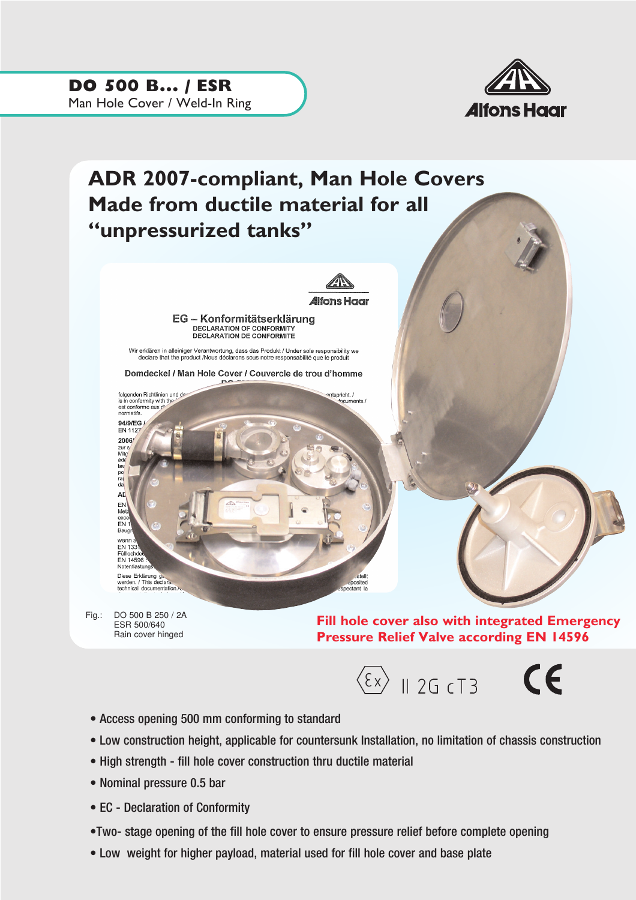DO 500 B... / ESR Man Hole Cover / Weld-In Ring



## ADR 2007-compliant, Man Hole Covers Made from ductile material for all "unpressurized tanks" *A*lfons Haar EG - Konformitätserklärung DECLARATION OF CONFORMITY **DECLARATION DE CONFORMITÉ** Wir erklären in alleiniger Verantwortung, dass das Produkt / Under sole responsibility we<br>declare that the product /Nous déclarons sous notre responsabilité que le produit Domdeckel / Man Hole Cover / Couvercle de trou d'homme folgenden Richtlinien und de ntspricht. / is in conformity with the<br>est conforme aux divinormatifs. ,<br>ente / 94/9/EG / FN 1127 2006/ zur s<br>Mitg ada<br>Iav  $p_0$ <br>ra AL EN exce<br>EN Ei<sup>v</sup><br>Bau wenn EN 133 Füllochd EN 14596 Notentlastun Diese Erklärung g<br>werden. / This declara.<br>technical documentation. positer

Fig.: DO 500 B 250 / 2A ESR 500/640 Rain cover hinged

Fill hole cover also with integrated Emergency Pressure Relief Valve according EN 14596



- Access opening 500 mm conforming to standard
- Low construction height, applicable for countersunk Installation, no limitation of chassis construction
- High strength fill hole cover construction thru ductile material
- Nominal pressure 0.5 bar
- EC Declaration of Conformity
- •Two- stage opening of the fill hole cover to ensure pressure relief before complete opening
- Low weight for higher payload, material used for fill hole cover and base plate